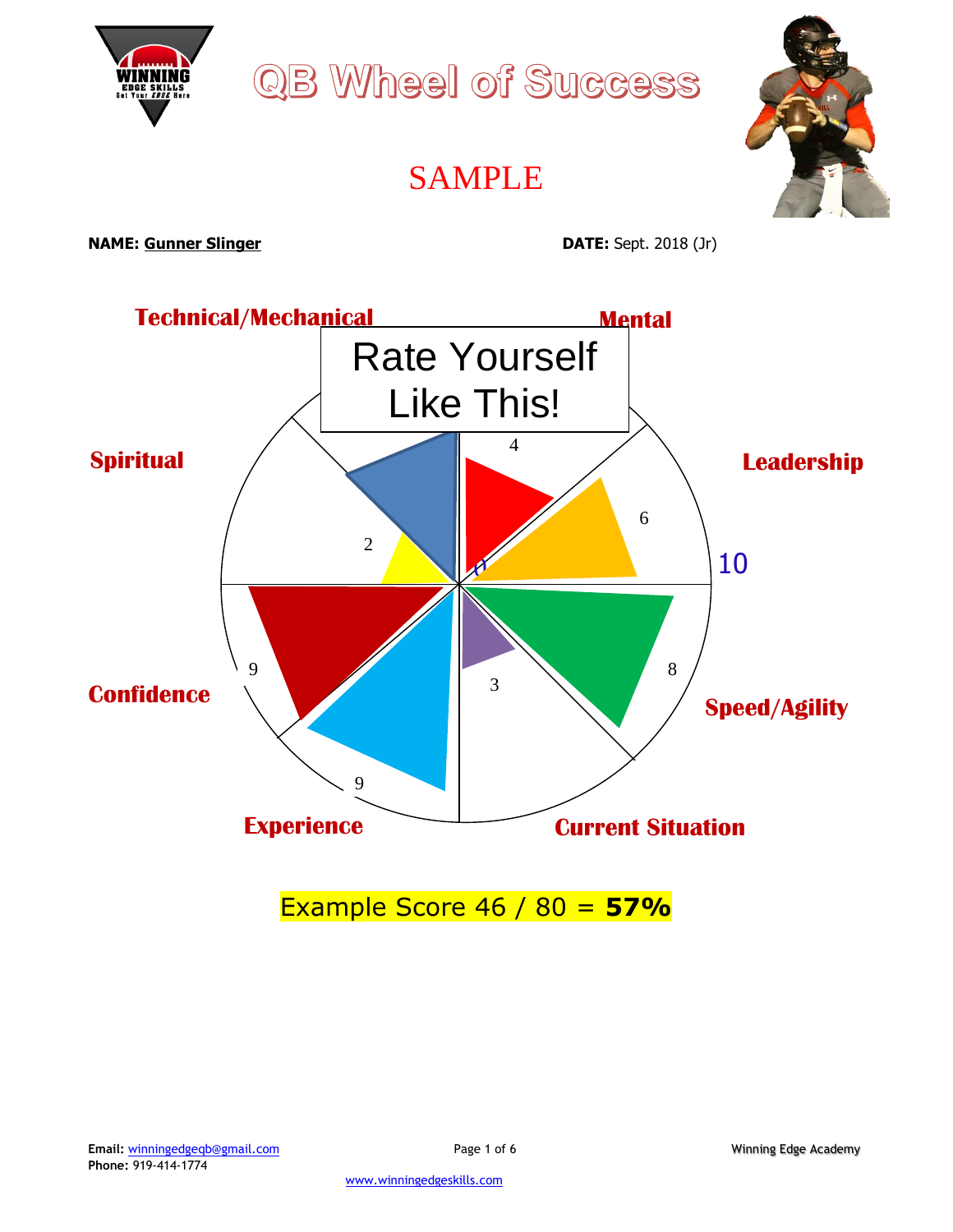

### Example Score 46 / 80 = **57%**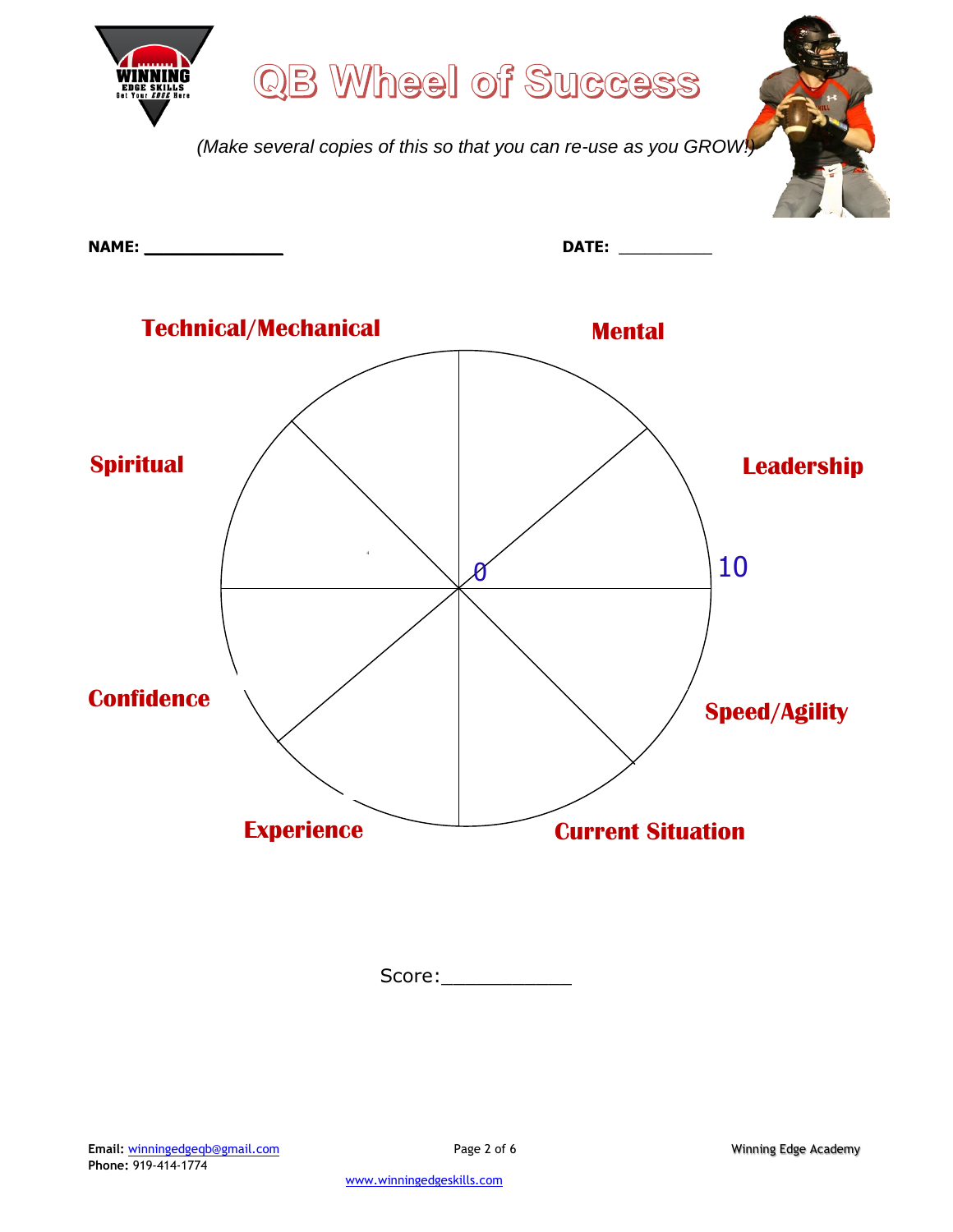

Score:\_\_\_\_\_\_\_\_\_\_\_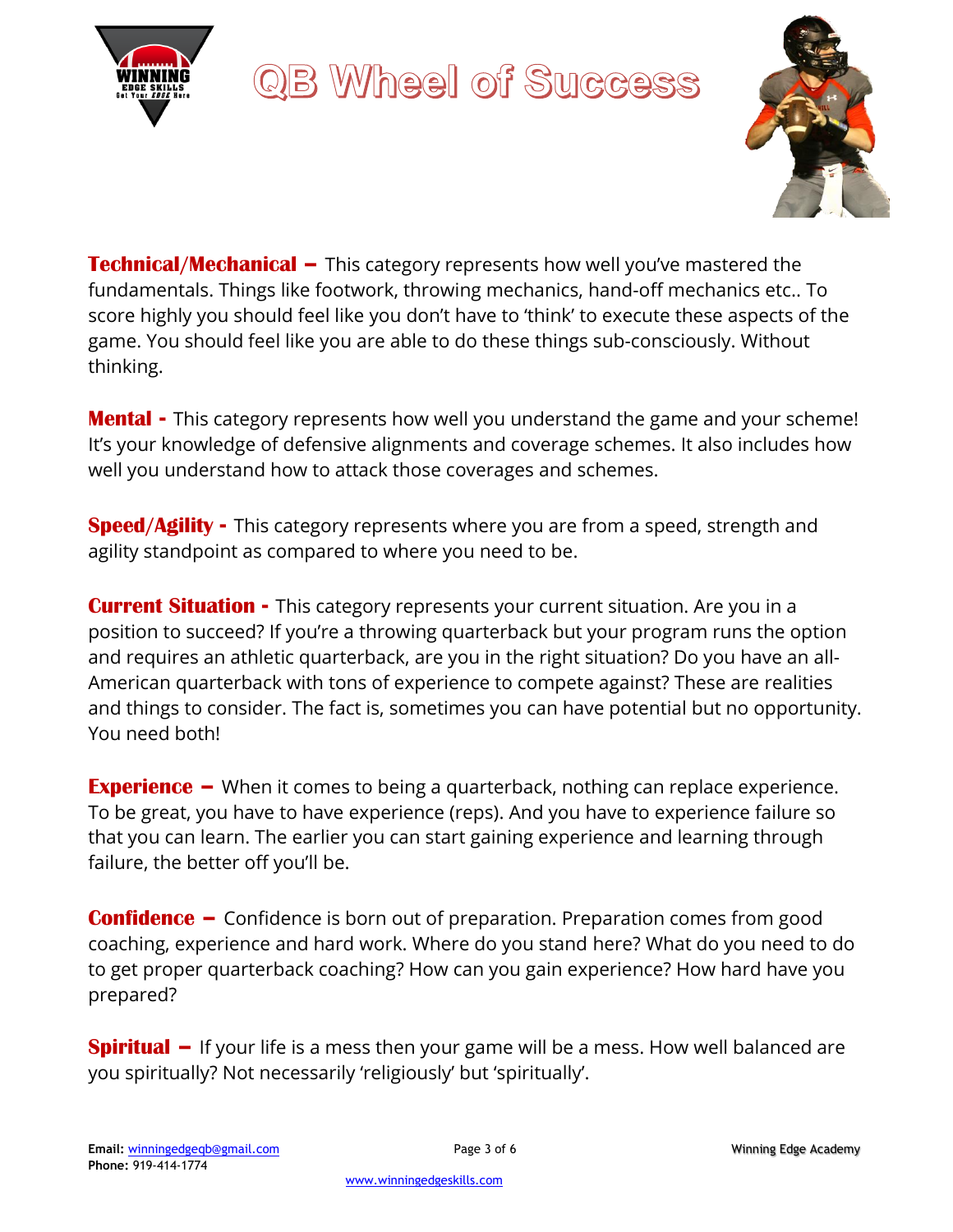



**Technical/Mechanical –** This category represents how well you've mastered the fundamentals. Things like footwork, throwing mechanics, hand-off mechanics etc.. To score highly you should feel like you don't have to 'think' to execute these aspects of the game. You should feel like you are able to do these things sub-consciously. Without thinking.

**Mental -** This category represents how well you understand the game and your scheme! It's your knowledge of defensive alignments and coverage schemes. It also includes how well you understand how to attack those coverages and schemes.

**Speed/Agility -** This category represents where you are from a speed, strength and agility standpoint as compared to where you need to be.

**Current Situation -** This category represents your current situation. Are you in a position to succeed? If you're a throwing quarterback but your program runs the option and requires an athletic quarterback, are you in the right situation? Do you have an all-American quarterback with tons of experience to compete against? These are realities and things to consider. The fact is, sometimes you can have potential but no opportunity. You need both!

**Experience** – When it comes to being a quarterback, nothing can replace experience. To be great, you have to have experience (reps). And you have to experience failure so that you can learn. The earlier you can start gaining experience and learning through failure, the better off you'll be.

**Confidence –** Confidence is born out of preparation. Preparation comes from good coaching, experience and hard work. Where do you stand here? What do you need to do to get proper quarterback coaching? How can you gain experience? How hard have you prepared?

**Spiritual –** If your life is a mess then your game will be a mess. How well balanced are you spiritually? Not necessarily 'religiously' but 'spiritually'.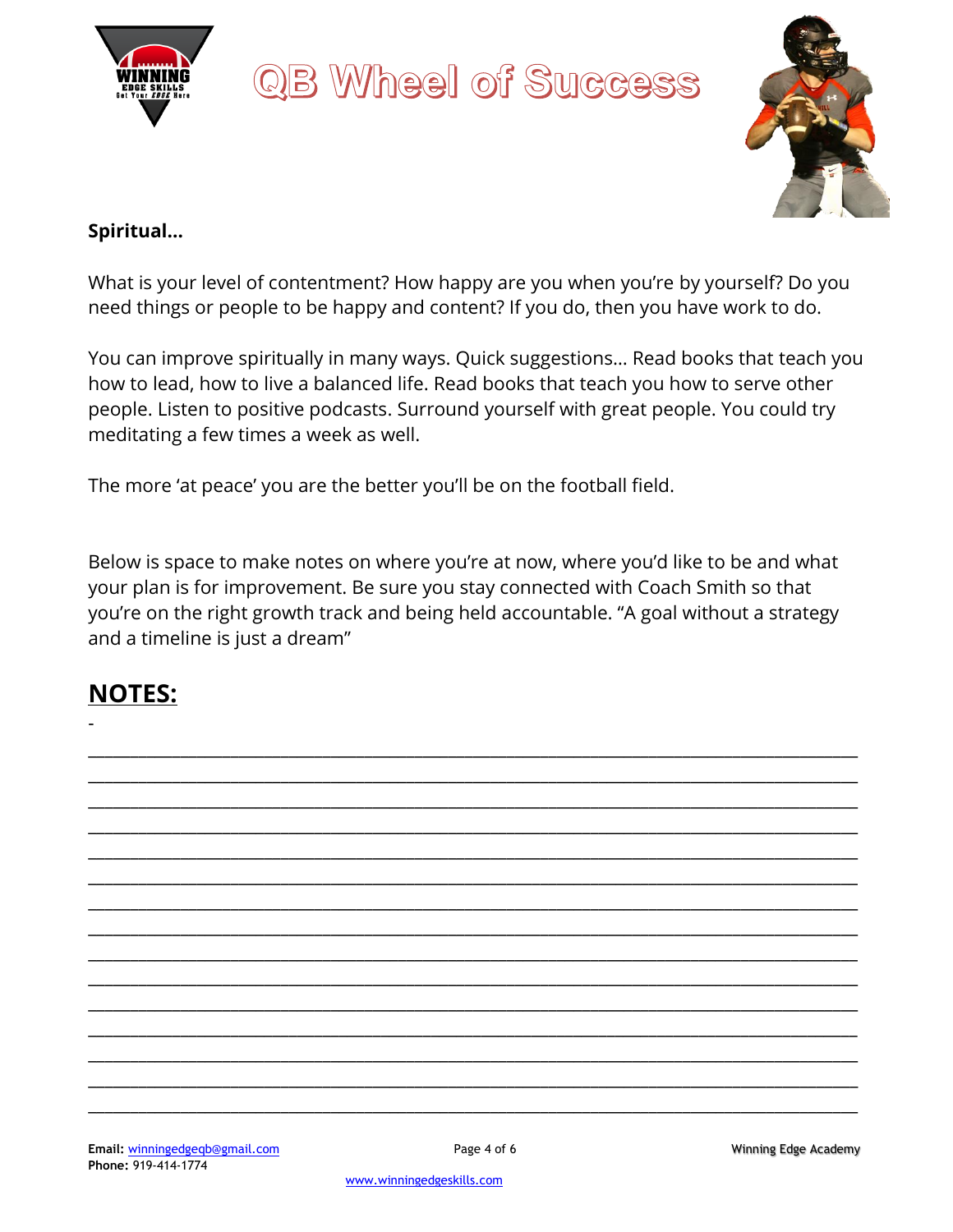



#### **Spiritual…**

What is your level of contentment? How happy are you when you're by yourself? Do you need things or people to be happy and content? If you do, then you have work to do.

You can improve spiritually in many ways. Quick suggestions… Read books that teach you how to lead, how to live a balanced life. Read books that teach you how to serve other people. Listen to positive podcasts. Surround yourself with great people. You could try meditating a few times a week as well.

The more 'at peace' you are the better you'll be on the football field.

Below is space to make notes on where you're at now, where you'd like to be and what your plan is for improvement. Be sure you stay connected with Coach Smith so that you're on the right growth track and being held accountable. "A goal without a strategy and a timeline is just a dream"

\_\_\_\_\_\_\_\_\_\_\_\_\_\_\_\_\_\_\_\_\_\_\_\_\_\_\_\_\_\_\_\_\_\_\_\_\_\_\_\_\_\_\_\_\_\_\_\_\_\_\_\_\_\_\_\_\_\_\_\_\_\_\_\_\_\_\_\_\_\_\_\_\_\_\_\_\_\_\_\_\_\_\_\_\_\_\_\_\_\_\_\_ \_\_\_\_\_\_\_\_\_\_\_\_\_\_\_\_\_\_\_\_\_\_\_\_\_\_\_\_\_\_\_\_\_\_\_\_\_\_\_\_\_\_\_\_\_\_\_\_\_\_\_\_\_\_\_\_\_\_\_\_\_\_\_\_\_\_\_\_\_\_\_\_\_\_\_\_\_\_\_\_\_\_\_\_\_\_\_\_\_\_\_\_ \_\_\_\_\_\_\_\_\_\_\_\_\_\_\_\_\_\_\_\_\_\_\_\_\_\_\_\_\_\_\_\_\_\_\_\_\_\_\_\_\_\_\_\_\_\_\_\_\_\_\_\_\_\_\_\_\_\_\_\_\_\_\_\_\_\_\_\_\_\_\_\_\_\_\_\_\_\_\_\_\_\_\_\_\_\_\_\_\_\_\_\_ \_\_\_\_\_\_\_\_\_\_\_\_\_\_\_\_\_\_\_\_\_\_\_\_\_\_\_\_\_\_\_\_\_\_\_\_\_\_\_\_\_\_\_\_\_\_\_\_\_\_\_\_\_\_\_\_\_\_\_\_\_\_\_\_\_\_\_\_\_\_\_\_\_\_\_\_\_\_\_\_\_\_\_\_\_\_\_\_\_\_\_\_ \_\_\_\_\_\_\_\_\_\_\_\_\_\_\_\_\_\_\_\_\_\_\_\_\_\_\_\_\_\_\_\_\_\_\_\_\_\_\_\_\_\_\_\_\_\_\_\_\_\_\_\_\_\_\_\_\_\_\_\_\_\_\_\_\_\_\_\_\_\_\_\_\_\_\_\_\_\_\_\_\_\_\_\_\_\_\_\_\_\_\_\_ \_\_\_\_\_\_\_\_\_\_\_\_\_\_\_\_\_\_\_\_\_\_\_\_\_\_\_\_\_\_\_\_\_\_\_\_\_\_\_\_\_\_\_\_\_\_\_\_\_\_\_\_\_\_\_\_\_\_\_\_\_\_\_\_\_\_\_\_\_\_\_\_\_\_\_\_\_\_\_\_\_\_\_\_\_\_\_\_\_\_\_\_ \_\_\_\_\_\_\_\_\_\_\_\_\_\_\_\_\_\_\_\_\_\_\_\_\_\_\_\_\_\_\_\_\_\_\_\_\_\_\_\_\_\_\_\_\_\_\_\_\_\_\_\_\_\_\_\_\_\_\_\_\_\_\_\_\_\_\_\_\_\_\_\_\_\_\_\_\_\_\_\_\_\_\_\_\_\_\_\_\_\_\_\_ \_\_\_\_\_\_\_\_\_\_\_\_\_\_\_\_\_\_\_\_\_\_\_\_\_\_\_\_\_\_\_\_\_\_\_\_\_\_\_\_\_\_\_\_\_\_\_\_\_\_\_\_\_\_\_\_\_\_\_\_\_\_\_\_\_\_\_\_\_\_\_\_\_\_\_\_\_\_\_\_\_\_\_\_\_\_\_\_\_\_\_\_ \_\_\_\_\_\_\_\_\_\_\_\_\_\_\_\_\_\_\_\_\_\_\_\_\_\_\_\_\_\_\_\_\_\_\_\_\_\_\_\_\_\_\_\_\_\_\_\_\_\_\_\_\_\_\_\_\_\_\_\_\_\_\_\_\_\_\_\_\_\_\_\_\_\_\_\_\_\_\_\_\_\_\_\_\_\_\_\_\_\_\_\_ \_\_\_\_\_\_\_\_\_\_\_\_\_\_\_\_\_\_\_\_\_\_\_\_\_\_\_\_\_\_\_\_\_\_\_\_\_\_\_\_\_\_\_\_\_\_\_\_\_\_\_\_\_\_\_\_\_\_\_\_\_\_\_\_\_\_\_\_\_\_\_\_\_\_\_\_\_\_\_\_\_\_\_\_\_\_\_\_\_\_\_\_ \_\_\_\_\_\_\_\_\_\_\_\_\_\_\_\_\_\_\_\_\_\_\_\_\_\_\_\_\_\_\_\_\_\_\_\_\_\_\_\_\_\_\_\_\_\_\_\_\_\_\_\_\_\_\_\_\_\_\_\_\_\_\_\_\_\_\_\_\_\_\_\_\_\_\_\_\_\_\_\_\_\_\_\_\_\_\_\_\_\_\_\_ \_\_\_\_\_\_\_\_\_\_\_\_\_\_\_\_\_\_\_\_\_\_\_\_\_\_\_\_\_\_\_\_\_\_\_\_\_\_\_\_\_\_\_\_\_\_\_\_\_\_\_\_\_\_\_\_\_\_\_\_\_\_\_\_\_\_\_\_\_\_\_\_\_\_\_\_\_\_\_\_\_\_\_\_\_\_\_\_\_\_\_\_ \_\_\_\_\_\_\_\_\_\_\_\_\_\_\_\_\_\_\_\_\_\_\_\_\_\_\_\_\_\_\_\_\_\_\_\_\_\_\_\_\_\_\_\_\_\_\_\_\_\_\_\_\_\_\_\_\_\_\_\_\_\_\_\_\_\_\_\_\_\_\_\_\_\_\_\_\_\_\_\_\_\_\_\_\_\_\_\_\_\_\_\_ \_\_\_\_\_\_\_\_\_\_\_\_\_\_\_\_\_\_\_\_\_\_\_\_\_\_\_\_\_\_\_\_\_\_\_\_\_\_\_\_\_\_\_\_\_\_\_\_\_\_\_\_\_\_\_\_\_\_\_\_\_\_\_\_\_\_\_\_\_\_\_\_\_\_\_\_\_\_\_\_\_\_\_\_\_\_\_\_\_\_\_\_ \_\_\_\_\_\_\_\_\_\_\_\_\_\_\_\_\_\_\_\_\_\_\_\_\_\_\_\_\_\_\_\_\_\_\_\_\_\_\_\_\_\_\_\_\_\_\_\_\_\_\_\_\_\_\_\_\_\_\_\_\_\_\_\_\_\_\_\_\_\_\_\_\_\_\_\_\_\_\_\_\_\_\_\_\_\_\_\_\_\_\_\_

#### **NOTES:**

-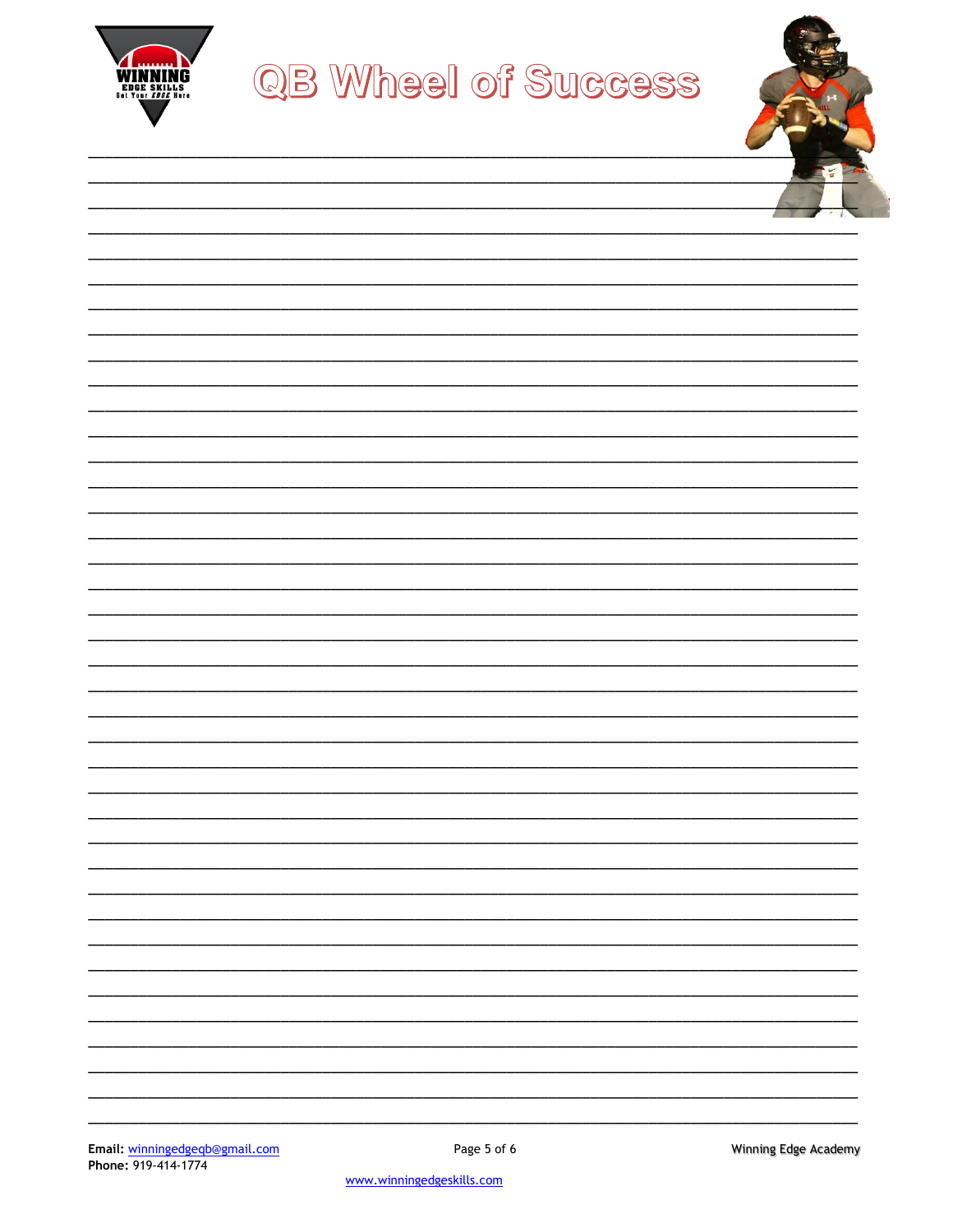

| 1000           |
|----------------|
|                |
| $\overline{1}$ |
|                |
|                |
|                |
|                |
|                |
|                |
|                |
|                |
|                |
|                |
|                |
|                |
|                |
|                |
|                |
|                |
|                |
|                |
|                |
|                |
|                |
|                |
|                |
|                |
|                |
|                |
|                |
|                |
|                |
|                |
|                |
| -              |
|                |
|                |
|                |
|                |
|                |